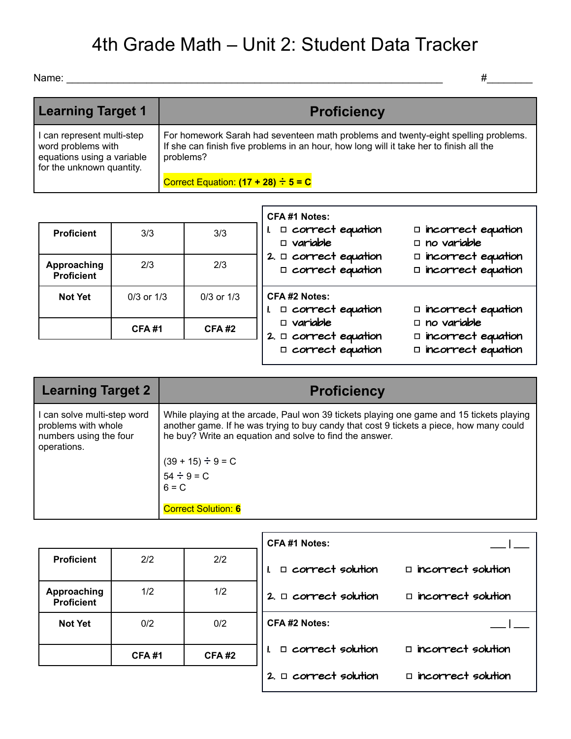## 4th Grade Math – Unit 2: Student Data Tracker

Name: \_\_\_\_\_\_\_\_\_\_\_\_\_\_\_\_\_\_\_\_\_\_\_\_\_\_\_\_\_\_\_\_\_\_\_\_\_\_\_\_\_\_\_\_\_\_\_\_\_\_\_\_\_\_\_\_\_\_\_\_\_\_\_\_\_\_ #\_\_\_\_\_\_\_\_

| <b>Learning Target 1</b>                                                                                    | <b>Proficiency</b>                                                                                                                                                                         |
|-------------------------------------------------------------------------------------------------------------|--------------------------------------------------------------------------------------------------------------------------------------------------------------------------------------------|
| I can represent multi-step<br>word problems with<br>equations using a variable<br>for the unknown quantity. | For homework Sarah had seventeen math problems and twenty-eight spelling problems.<br>If she can finish five problems in an hour, how long will it take her to finish all the<br>problems? |
|                                                                                                             | Correct Equation: $(17 + 28) \div 5 = C$                                                                                                                                                   |

|                                  |                |                | <b>CFA#1 Notes:</b>                                                      |                                                                                       |
|----------------------------------|----------------|----------------|--------------------------------------------------------------------------|---------------------------------------------------------------------------------------|
| <b>Proficient</b>                | 3/3            | 3/3            | $\Box$ correct equation<br>$\Box$ variable                               | $\square$ incorrect equation<br>$\Box$ no variable                                    |
| Approaching<br><b>Proficient</b> | 2/3            | 2/3            | 2. $\Box$ correct equation<br>$\Box$ correct equation                    | $\square$ incorrect equation<br>$\square$ incorrect equation                          |
| <b>Not Yet</b>                   | $0/3$ or $1/3$ | $0/3$ or $1/3$ | CFA #2 Notes:<br>$\Box$ correct equation                                 | $\square$ incorrect equation                                                          |
|                                  | <b>CFA#1</b>   | CFA#2          | $\Box$ variable<br>2. $\Box$ correct equation<br>$\Box$ correct equation | $\square$ no variable<br>$\square$ incorrect equation<br>$\square$ incorrect equation |
|                                  |                |                |                                                                          |                                                                                       |

| <b>Learning Target 2</b>                                                                    | <b>Proficiency</b>                                                                                                                                                                                                                                                                                     |  |  |  |
|---------------------------------------------------------------------------------------------|--------------------------------------------------------------------------------------------------------------------------------------------------------------------------------------------------------------------------------------------------------------------------------------------------------|--|--|--|
| I can solve multi-step word<br>problems with whole<br>numbers using the four<br>operations. | While playing at the arcade, Paul won 39 tickets playing one game and 15 tickets playing<br>another game. If he was trying to buy candy that cost 9 tickets a piece, how many could<br>he buy? Write an equation and solve to find the answer.<br>$(39 + 15) \div 9 = C$<br>$54 \div 9 = C$<br>$6 = C$ |  |  |  |
|                                                                                             | <b>Correct Solution: 6</b>                                                                                                                                                                                                                                                                             |  |  |  |

|                                  |              |              | <b>CFA#1 Notes:</b>        |                           |
|----------------------------------|--------------|--------------|----------------------------|---------------------------|
| <b>Proficient</b>                | 2/2          | 2/2          | $\square$ correct solution | $\Box$ incorrect solution |
| Approaching<br><b>Proficient</b> | 1/2          | 1/2          | 2. $\Box$ correct solution | $\Box$ incorrect solution |
| <b>Not Yet</b>                   | 0/2          | 0/2          | <b>CFA#2 Notes:</b>        |                           |
|                                  | <b>CFA#1</b> | <b>CFA#2</b> | $\Box$ correct solution    | $\Box$ incorrect solution |
|                                  |              |              | $2. \Box$ correct solution | $\Box$ incorrect solution |